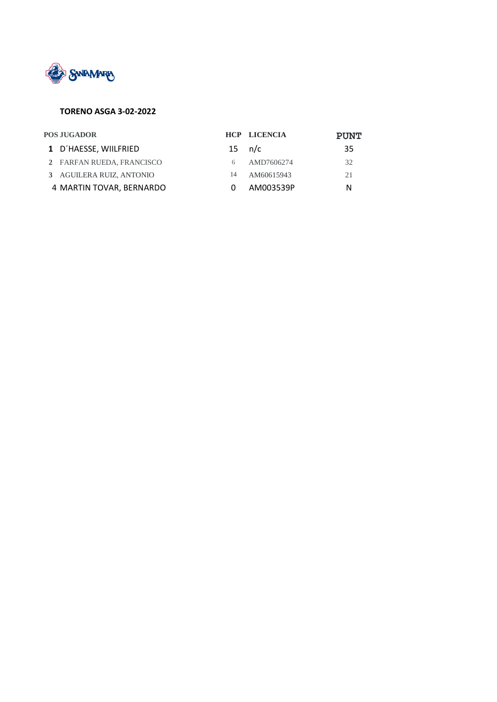

#### **TORENO ASGA 3-02-2022**

| <b>POS JUGADOR</b> |                           |    | <b>HCP LICENCIA</b> | <b>PUNT</b> |
|--------------------|---------------------------|----|---------------------|-------------|
|                    | 1 D'HAESSE, WIILFRIED     |    | $15 \quad n/c$      | 35          |
|                    | 2 FARFAN RUEDA, FRANCISCO |    | AMD7606274          | 32          |
|                    | 3 AGUILERA RUIZ, ANTONIO  | 14 | AM60615943          | 21          |
|                    | 4 MARTIN TOVAR, BERNARDO  |    | AM003539P           | N           |
|                    |                           |    |                     |             |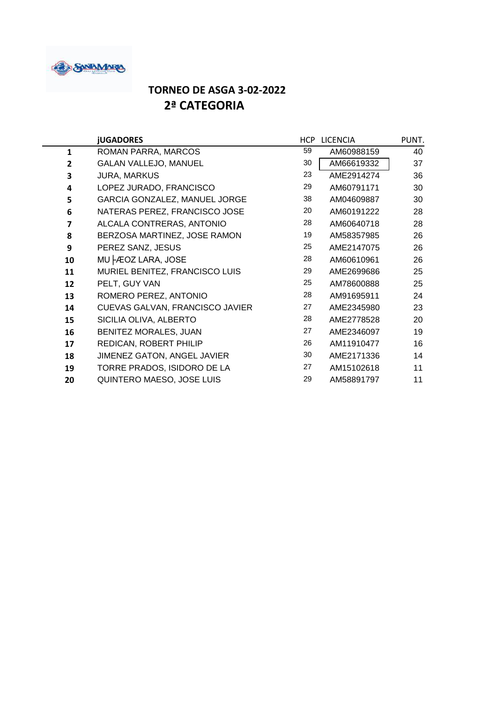

### **TORNEO DE ASGA 3-02-2022 2ª CATEGORIA**

|              | <b>jUGADORES</b>                                                                                            | HCP | <b>LICENCIA</b> | PUNT. |
|--------------|-------------------------------------------------------------------------------------------------------------|-----|-----------------|-------|
| $\mathbf{1}$ | 59<br>ROMAN PARRA, MARCOS                                                                                   |     | AM60988159      | 40    |
| 2            | <b>GALAN VALLEJO, MANUEL</b>                                                                                | 30  | AM66619332      | 37    |
| 3            | <b>JURA, MARKUS</b>                                                                                         |     | AME2914274      | 36    |
| 4            | LOPEZ JURADO, FRANCISCO                                                                                     |     | AM60791171      | 30    |
| 5            | GARCIA GONZALEZ, MANUEL JORGE<br>NATERAS PEREZ, FRANCISCO JOSE                                              |     | AM04609887      | 30    |
| 6            |                                                                                                             |     | AM60191222      | 28    |
| 7            | ALCALA CONTRERAS, ANTONIO                                                                                   | 28  | AM60640718      | 28    |
| 8            | BERZOSA MARTINEZ, JOSE RAMON                                                                                | 19  | AM58357985      | 26    |
| 9            | PEREZ SANZ, JESUS                                                                                           |     | AME2147075      | 26    |
| 10           | MU FEOZ LARA, JOSE                                                                                          | 28  | AM60610961      | 26    |
| 11           | MURIEL BENITEZ, FRANCISCO LUIS<br>PELT, GUY VAN<br>ROMERO PEREZ, ANTONIO<br>CUEVAS GALVAN, FRANCISCO JAVIER |     | AME2699686      | 25    |
| 12           |                                                                                                             |     | AM78600888      | 25    |
| 13           |                                                                                                             |     | AM91695911      | 24    |
| 14           |                                                                                                             |     | AME2345980      | 23    |
| 15           | SICILIA OLIVA, ALBERTO                                                                                      | 28  | AME2778528      | 20    |
| 16           | BENITEZ MORALES, JUAN                                                                                       | 27  | AME2346097      | 19    |
| 17           | REDICAN, ROBERT PHILIP                                                                                      | 26  | AM11910477      | 16    |
| 18           | JIMENEZ GATON, ANGEL JAVIER                                                                                 | 30  | AME2171336      | 14    |
| 19           | TORRE PRADOS, ISIDORO DE LA                                                                                 | 27  | AM15102618      | 11    |
| 20           | QUINTERO MAESO, JOSE LUIS                                                                                   | 29  | AM58891797      | 11    |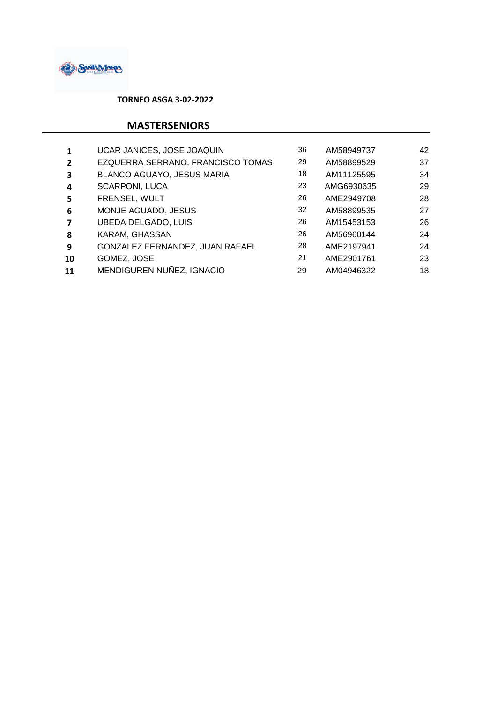

 **TORNEO ASGA 3-02-2022**

### **MASTERSENIORS**

|                | UCAR JANICES, JOSE JOAQUIN        |  | AM58949737 | 42 |
|----------------|-----------------------------------|--|------------|----|
| $\overline{2}$ | EZQUERRA SERRANO, FRANCISCO TOMAS |  | AM58899529 | 37 |
| 3              | BLANCO AGUAYO, JESUS MARIA        |  | AM11125595 | 34 |
| 4              | <b>SCARPONI, LUCA</b>             |  | AMG6930635 | 29 |
| 5              | FRENSEL, WULT                     |  | AME2949708 | 28 |
| 6              | MONJE AGUADO, JESUS               |  | AM58899535 | 27 |
| 7              | <b>UBEDA DELGADO, LUIS</b>        |  | AM15453153 | 26 |
| 8              | KARAM, GHASSAN                    |  | AM56960144 | 24 |
| 9              | GONZALEZ FERNANDEZ, JUAN RAFAEL   |  | AME2197941 | 24 |
| 10             | GOMEZ, JOSE                       |  | AME2901761 | 23 |
| 11             | MENDIGUREN NUÑEZ, IGNACIO         |  | AM04946322 | 18 |
|                |                                   |  |            |    |